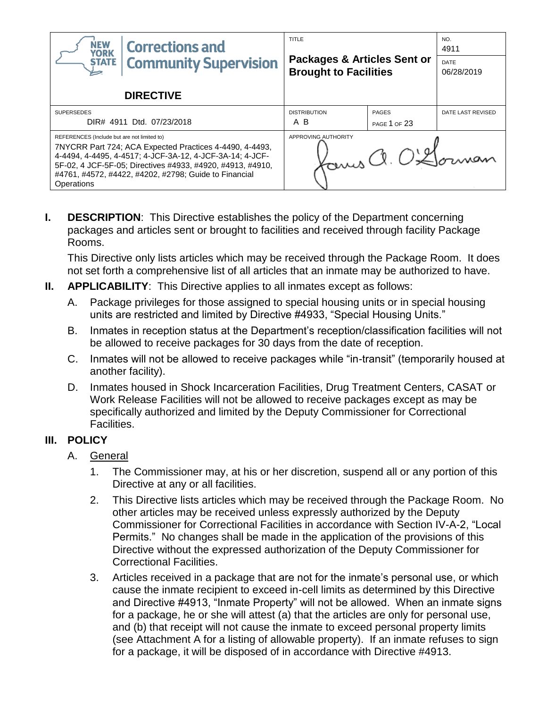| <b>NEW</b><br><b>Corrections and</b><br><b>YORK</b>                                                                                                                                                                                                                                                     | TITLE                                                                  |                     | NO.<br>4911               |
|---------------------------------------------------------------------------------------------------------------------------------------------------------------------------------------------------------------------------------------------------------------------------------------------------------|------------------------------------------------------------------------|---------------------|---------------------------|
| <b>Community Supervision</b><br><b>STATE</b>                                                                                                                                                                                                                                                            | <b>Packages &amp; Articles Sent or</b><br><b>Brought to Facilities</b> |                     | <b>DATE</b><br>06/28/2019 |
| <b>DIRECTIVE</b>                                                                                                                                                                                                                                                                                        |                                                                        |                     |                           |
| <b>SUPERSEDES</b>                                                                                                                                                                                                                                                                                       | <b>DISTRIBUTION</b>                                                    | <b>PAGES</b>        | DATE LAST REVISED         |
| DIR# 4911 Dtd. 07/23/2018                                                                                                                                                                                                                                                                               | A B                                                                    | <b>PAGE 1 OF 23</b> |                           |
| REFERENCES (Include but are not limited to)<br>7NYCRR Part 724; ACA Expected Practices 4-4490, 4-4493,<br>4-4494, 4-4495, 4-4517; 4-JCF-3A-12, 4-JCF-3A-14; 4-JCF-<br>5F-02, 4 JCF-5F-05; Directives #4933, #4920, #4913, #4910,<br>#4761, #4572, #4422, #4202, #2798; Guide to Financial<br>Operations | APPROVING AUTHORITY                                                    | Yours a. O'Gorman   |                           |

**I. DESCRIPTION:** This Directive establishes the policy of the Department concerning packages and articles sent or brought to facilities and received through facility Package Rooms.

This Directive only lists articles which may be received through the Package Room. It does not set forth a comprehensive list of all articles that an inmate may be authorized to have.

- **II. APPLICABILITY**: This Directive applies to all inmates except as follows:
	- A. Package privileges for those assigned to special housing units or in special housing units are restricted and limited by Directive #4933, "Special Housing Units."
	- B. Inmates in reception status at the Department's reception/classification facilities will not be allowed to receive packages for 30 days from the date of reception.
	- C. Inmates will not be allowed to receive packages while "in-transit" (temporarily housed at another facility).
	- D. Inmates housed in Shock Incarceration Facilities, Drug Treatment Centers, CASAT or Work Release Facilities will not be allowed to receive packages except as may be specifically authorized and limited by the Deputy Commissioner for Correctional Facilities.

## **III. POLICY**

- A. General
	- 1. The Commissioner may, at his or her discretion, suspend all or any portion of this Directive at any or all facilities.
	- 2. This Directive lists articles which may be received through the Package Room. No other articles may be received unless expressly authorized by the Deputy Commissioner for Correctional Facilities in accordance with Section IV-A-2, "Local Permits." No changes shall be made in the application of the provisions of this Directive without the expressed authorization of the Deputy Commissioner for Correctional Facilities.
	- 3. Articles received in a package that are not for the inmate's personal use, or which cause the inmate recipient to exceed in-cell limits as determined by this Directive and Directive #4913, "Inmate Property" will not be allowed. When an inmate signs for a package, he or she will attest (a) that the articles are only for personal use, and (b) that receipt will not cause the inmate to exceed personal property limits (see Attachment A for a listing of allowable property). If an inmate refuses to sign for a package, it will be disposed of in accordance with Directive #4913.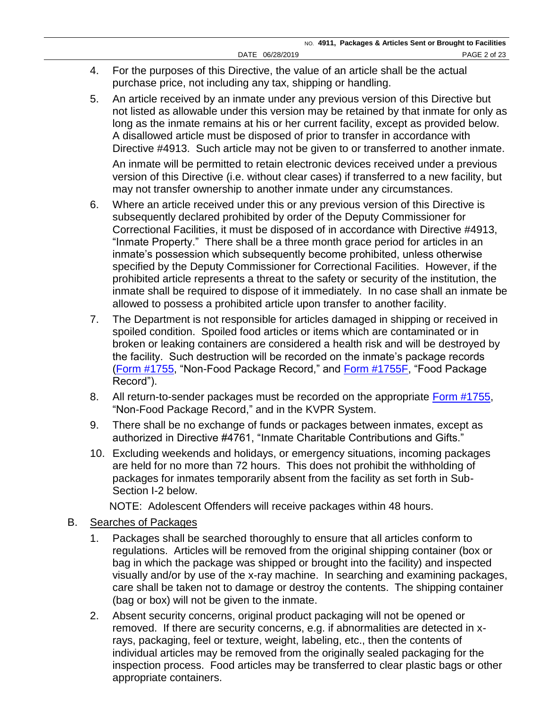- 4. For the purposes of this Directive, the value of an article shall be the actual purchase price, not including any tax, shipping or handling.
- 5. An article received by an inmate under any previous version of this Directive but not listed as allowable under this version may be retained by that inmate for only as long as the inmate remains at his or her current facility, except as provided below. A disallowed article must be disposed of prior to transfer in accordance with Directive #4913. Such article may not be given to or transferred to another inmate.

An inmate will be permitted to retain electronic devices received under a previous version of this Directive (i.e. without clear cases) if transferred to a new facility, but may not transfer ownership to another inmate under any circumstances.

- 6. Where an article received under this or any previous version of this Directive is subsequently declared prohibited by order of the Deputy Commissioner for Correctional Facilities, it must be disposed of in accordance with Directive #4913, "Inmate Property." There shall be a three month grace period for articles in an inmate's possession which subsequently become prohibited, unless otherwise specified by the Deputy Commissioner for Correctional Facilities. However, if the prohibited article represents a threat to the safety or security of the institution, the inmate shall be required to dispose of it immediately. In no case shall an inmate be allowed to possess a prohibited article upon transfer to another facility.
- 7. The Department is not responsible for articles damaged in shipping or received in spoiled condition. Spoiled food articles or items which are contaminated or in broken or leaking containers are considered a health risk and will be destroyed by the facility. Such destruction will be recorded on the inmate's package records [\(Form #1755,](http://www.doccs.ny.gov/directives/Frm1755.pdf) "Non-Food Package Record," and [Form #1755F,](http://www.doccs.ny.gov/directives/Frm1755F.pdf) "Food Package Record").
- 8. All return-to-sender packages must be recorded on the appropriate [Form #1755,](http://www.doccs.ny.gov/directives/Frm1755.pdf) "Non-Food Package Record," and in the KVPR System.
- 9. There shall be no exchange of funds or packages between inmates, except as authorized in Directive #4761, "Inmate Charitable Contributions and Gifts."
- 10. Excluding weekends and holidays, or emergency situations, incoming packages are held for no more than 72 hours. This does not prohibit the withholding of packages for inmates temporarily absent from the facility as set forth in Sub-Section I-2 below.

NOTE: Adolescent Offenders will receive packages within 48 hours.

- B. Searches of Packages
	- 1. Packages shall be searched thoroughly to ensure that all articles conform to regulations. Articles will be removed from the original shipping container (box or bag in which the package was shipped or brought into the facility) and inspected visually and/or by use of the x-ray machine. In searching and examining packages, care shall be taken not to damage or destroy the contents. The shipping container (bag or box) will not be given to the inmate.
	- 2. Absent security concerns, original product packaging will not be opened or removed. If there are security concerns, e.g. if abnormalities are detected in xrays, packaging, feel or texture, weight, labeling, etc., then the contents of individual articles may be removed from the originally sealed packaging for the inspection process. Food articles may be transferred to clear plastic bags or other appropriate containers.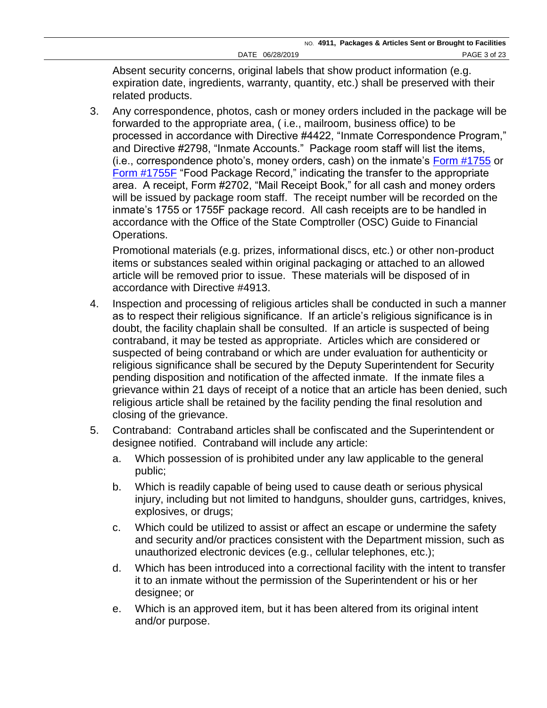Absent security concerns, original labels that show product information (e.g. expiration date, ingredients, warranty, quantity, etc.) shall be preserved with their related products.

3. Any correspondence, photos, cash or money orders included in the package will be forwarded to the appropriate area, ( i.e., mailroom, business office) to be processed in accordance with Directive #4422, "Inmate Correspondence Program," and Directive #2798, "Inmate Accounts." Package room staff will list the items, (i.e., correspondence photo's, money orders, cash) on the inmate's [Form #1755](http://www.doccs.ny.gov/directives/Frm1755.pdf) or [Form #1755F](http://www.doccs.ny.gov/directives/Frm1755F.pdf) "Food Package Record," indicating the transfer to the appropriate area. A receipt, Form #2702, "Mail Receipt Book," for all cash and money orders will be issued by package room staff. The receipt number will be recorded on the inmate's 1755 or 1755F package record. All cash receipts are to be handled in accordance with the Office of the State Comptroller (OSC) Guide to Financial Operations.

Promotional materials (e.g. prizes, informational discs, etc.) or other non-product items or substances sealed within original packaging or attached to an allowed article will be removed prior to issue. These materials will be disposed of in accordance with Directive #4913.

- 4. Inspection and processing of religious articles shall be conducted in such a manner as to respect their religious significance. If an article's religious significance is in doubt, the facility chaplain shall be consulted. If an article is suspected of being contraband, it may be tested as appropriate. Articles which are considered or suspected of being contraband or which are under evaluation for authenticity or religious significance shall be secured by the Deputy Superintendent for Security pending disposition and notification of the affected inmate. If the inmate files a grievance within 21 days of receipt of a notice that an article has been denied, such religious article shall be retained by the facility pending the final resolution and closing of the grievance.
- 5. Contraband: Contraband articles shall be confiscated and the Superintendent or designee notified. Contraband will include any article:
	- a. Which possession of is prohibited under any law applicable to the general public;
	- b. Which is readily capable of being used to cause death or serious physical injury, including but not limited to handguns, shoulder guns, cartridges, knives, explosives, or drugs;
	- c. Which could be utilized to assist or affect an escape or undermine the safety and security and/or practices consistent with the Department mission, such as unauthorized electronic devices (e.g., cellular telephones, etc.);
	- d. Which has been introduced into a correctional facility with the intent to transfer it to an inmate without the permission of the Superintendent or his or her designee; or
	- e. Which is an approved item, but it has been altered from its original intent and/or purpose.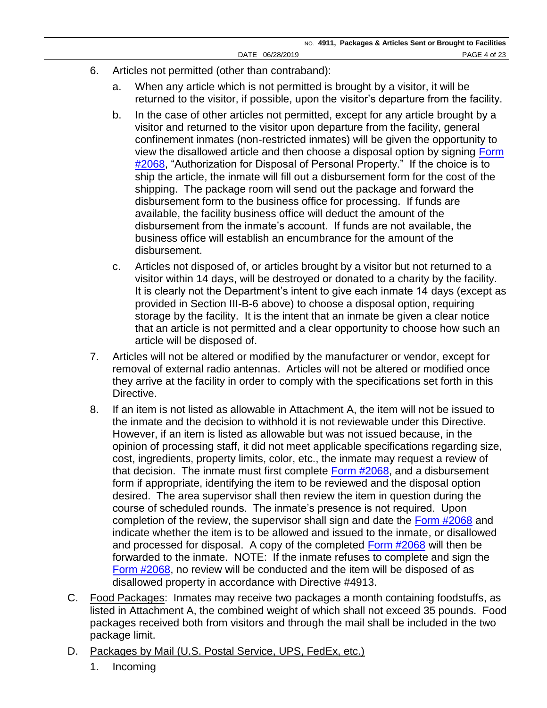- 6. Articles not permitted (other than contraband):
	- a. When any article which is not permitted is brought by a visitor, it will be returned to the visitor, if possible, upon the visitor's departure from the facility.
	- b. In the case of other articles not permitted, except for any article brought by a visitor and returned to the visitor upon departure from the facility, general confinement inmates (non-restricted inmates) will be given the opportunity to view the disallowed article and then choose a disposal option by signing [Form](http://www.doccs.ny.gov/directives/Frm2068.pdf)  #2068. "Authorization for Disposal of Personal Property." If the choice is to ship the article, the inmate will fill out a disbursement form for the cost of the shipping. The package room will send out the package and forward the disbursement form to the business office for processing. If funds are available, the facility business office will deduct the amount of the disbursement from the inmate's account. If funds are not available, the business office will establish an encumbrance for the amount of the disbursement.
	- c. Articles not disposed of, or articles brought by a visitor but not returned to a visitor within 14 days, will be destroyed or donated to a charity by the facility. It is clearly not the Department's intent to give each inmate 14 days (except as provided in Section III-B-6 above) to choose a disposal option, requiring storage by the facility. It is the intent that an inmate be given a clear notice that an article is not permitted and a clear opportunity to choose how such an article will be disposed of.
- 7. Articles will not be altered or modified by the manufacturer or vendor, except for removal of external radio antennas. Articles will not be altered or modified once they arrive at the facility in order to comply with the specifications set forth in this Directive.
- 8. If an item is not listed as allowable in Attachment A, the item will not be issued to the inmate and the decision to withhold it is not reviewable under this Directive. However, if an item is listed as allowable but was not issued because, in the opinion of processing staff, it did not meet applicable specifications regarding size, cost, ingredients, property limits, color, etc., the inmate may request a review of that decision. The inmate must first complete [Form #2068,](http://www.doccs.ny.gov/directives/Frm2068.pdf) and a disbursement form if appropriate, identifying the item to be reviewed and the disposal option desired. The area supervisor shall then review the item in question during the course of scheduled rounds. The inmate's presence is not required. Upon completion of the review, the supervisor shall sign and date the [Form #2068](http://www.doccs.ny.gov/directives/Frm2068.pdf) and indicate whether the item is to be allowed and issued to the inmate, or disallowed and processed for disposal. A copy of the completed [Form #2068](http://www.doccs.ny.gov/directives/Frm2068.pdf) will then be forwarded to the inmate. NOTE: If the inmate refuses to complete and sign the [Form #2068,](http://www.doccs.ny.gov/directives/Frm2068.pdf) no review will be conducted and the item will be disposed of as disallowed property in accordance with Directive #4913.
- C. Food Packages: Inmates may receive two packages a month containing foodstuffs, as listed in Attachment A, the combined weight of which shall not exceed 35 pounds. Food packages received both from visitors and through the mail shall be included in the two package limit.
- D. Packages by Mail (U.S. Postal Service, UPS, FedEx, etc.)
	- 1. Incoming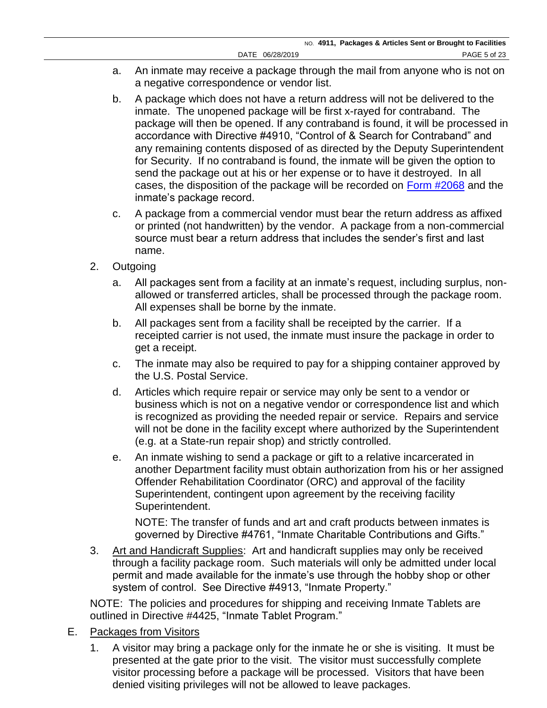- a. An inmate may receive a package through the mail from anyone who is not on a negative correspondence or vendor list.
- b. A package which does not have a return address will not be delivered to the inmate. The unopened package will be first x-rayed for contraband. The package will then be opened. If any contraband is found, it will be processed in accordance with Directive #4910, "Control of & Search for Contraband" and any remaining contents disposed of as directed by the Deputy Superintendent for Security. If no contraband is found, the inmate will be given the option to send the package out at his or her expense or to have it destroyed. In all cases, the disposition of the package will be recorded on [Form #2068](http://www.doccs.ny.gov/directives/Frm2068.pdf) and the inmate's package record.
- c. A package from a commercial vendor must bear the return address as affixed or printed (not handwritten) by the vendor. A package from a non-commercial source must bear a return address that includes the sender's first and last name.
- 2. Outgoing
	- a. All packages sent from a facility at an inmate's request, including surplus, nonallowed or transferred articles, shall be processed through the package room. All expenses shall be borne by the inmate.
	- b. All packages sent from a facility shall be receipted by the carrier. If a receipted carrier is not used, the inmate must insure the package in order to get a receipt.
	- c. The inmate may also be required to pay for a shipping container approved by the U.S. Postal Service.
	- d. Articles which require repair or service may only be sent to a vendor or business which is not on a negative vendor or correspondence list and which is recognized as providing the needed repair or service. Repairs and service will not be done in the facility except where authorized by the Superintendent (e.g. at a State-run repair shop) and strictly controlled.
	- e. An inmate wishing to send a package or gift to a relative incarcerated in another Department facility must obtain authorization from his or her assigned Offender Rehabilitation Coordinator (ORC) and approval of the facility Superintendent, contingent upon agreement by the receiving facility Superintendent.

NOTE: The transfer of funds and art and craft products between inmates is governed by Directive #4761, "Inmate Charitable Contributions and Gifts."

3. Art and Handicraft Supplies: Art and handicraft supplies may only be received through a facility package room. Such materials will only be admitted under local permit and made available for the inmate's use through the hobby shop or other system of control. See Directive #4913, "Inmate Property."

NOTE: The policies and procedures for shipping and receiving Inmate Tablets are outlined in Directive #4425, "Inmate Tablet Program."

- E. Packages from Visitors
	- 1. A visitor may bring a package only for the inmate he or she is visiting. It must be presented at the gate prior to the visit. The visitor must successfully complete visitor processing before a package will be processed. Visitors that have been denied visiting privileges will not be allowed to leave packages.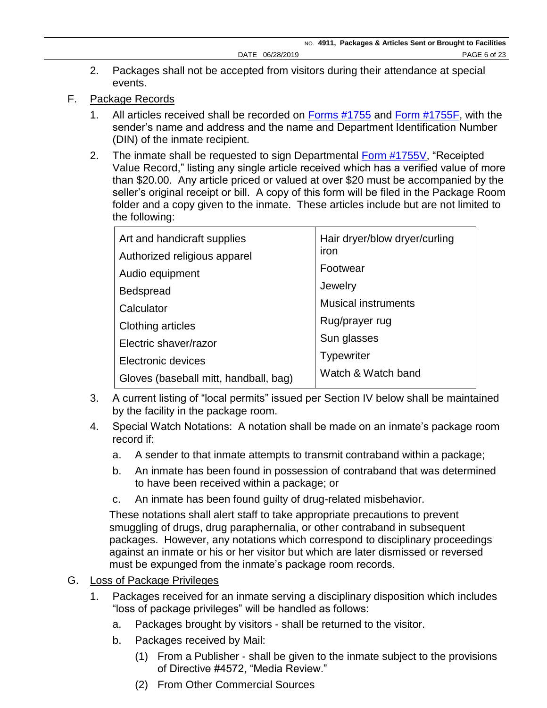- 2. Packages shall not be accepted from visitors during their attendance at special events.
- F. Package Records
	- 1. All articles received shall be recorded on [Forms #1755](http://www.doccs.ny.gov/directives/Frm1755.pdf) and [Form #1755F,](http://www.doccs.ny.gov/directives/Frm1755F.pdf) with the sender's name and address and the name and Department Identification Number (DIN) of the inmate recipient.
	- 2. The inmate shall be requested to sign Departmental [Form #1755V,](http://www.doccs.ny.gov/directives/Frm1755V.pdf) "Receipted Value Record," listing any single article received which has a verified value of more than \$20.00. Any article priced or valued at over \$20 must be accompanied by the seller's original receipt or bill. A copy of this form will be filed in the Package Room folder and a copy given to the inmate. These articles include but are not limited to the following:

| Art and handicraft supplies<br>Authorized religious apparel | Hair dryer/blow dryer/curling<br>iron |
|-------------------------------------------------------------|---------------------------------------|
| Audio equipment                                             | Footwear                              |
| <b>Bedspread</b>                                            | Jewelry                               |
| Calculator                                                  | <b>Musical instruments</b>            |
| <b>Clothing articles</b>                                    | Rug/prayer rug                        |
| Electric shaver/razor                                       | Sun glasses                           |
| Electronic devices                                          | <b>Typewriter</b>                     |
| Gloves (baseball mitt, handball, bag)                       | Watch & Watch band                    |

- 3. A current listing of "local permits" issued per Section IV below shall be maintained by the facility in the package room.
- 4. Special Watch Notations: A notation shall be made on an inmate's package room record if:
	- a. A sender to that inmate attempts to transmit contraband within a package;
	- b. An inmate has been found in possession of contraband that was determined to have been received within a package; or
	- c. An inmate has been found guilty of drug-related misbehavior.

These notations shall alert staff to take appropriate precautions to prevent smuggling of drugs, drug paraphernalia, or other contraband in subsequent packages. However, any notations which correspond to disciplinary proceedings against an inmate or his or her visitor but which are later dismissed or reversed must be expunged from the inmate's package room records.

## G. Loss of Package Privileges

- 1. Packages received for an inmate serving a disciplinary disposition which includes "loss of package privileges" will be handled as follows:
	- a. Packages brought by visitors shall be returned to the visitor.
	- b. Packages received by Mail:
		- (1) From a Publisher shall be given to the inmate subject to the provisions of Directive #4572, "Media Review."
		- (2) From Other Commercial Sources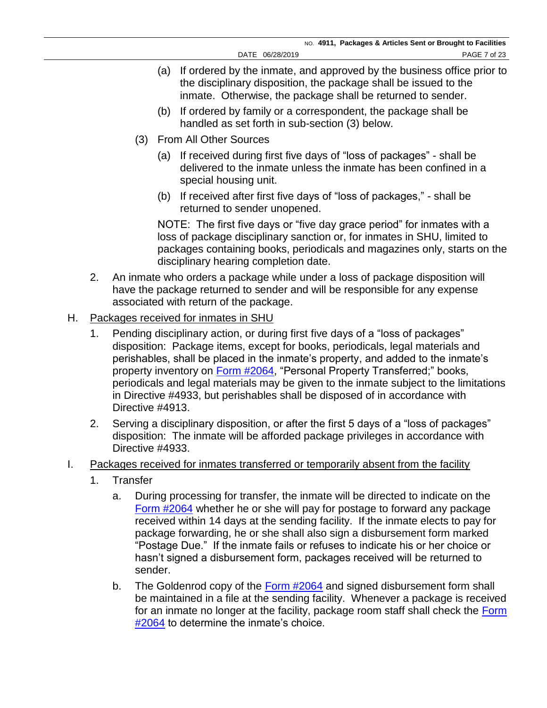- (a) If ordered by the inmate, and approved by the business office prior to the disciplinary disposition, the package shall be issued to the inmate. Otherwise, the package shall be returned to sender.
- (b) If ordered by family or a correspondent, the package shall be handled as set forth in sub-section (3) below.
- (3) From All Other Sources
	- (a) If received during first five days of "loss of packages" shall be delivered to the inmate unless the inmate has been confined in a special housing unit.
	- (b) If received after first five days of "loss of packages," shall be returned to sender unopened.

NOTE: The first five days or "five day grace period" for inmates with a loss of package disciplinary sanction or, for inmates in SHU, limited to packages containing books, periodicals and magazines only, starts on the disciplinary hearing completion date.

- 2. An inmate who orders a package while under a loss of package disposition will have the package returned to sender and will be responsible for any expense associated with return of the package.
- H. Packages received for inmates in SHU
	- 1. Pending disciplinary action, or during first five days of a "loss of packages" disposition: Package items, except for books, periodicals, legal materials and perishables, shall be placed in the inmate's property, and added to the inmate's property inventory on [Form #2064,](http://www.doccs.ny.gov/directives/Frm2064.pdf) "Personal Property Transferred;" books, periodicals and legal materials may be given to the inmate subject to the limitations in Directive #4933, but perishables shall be disposed of in accordance with Directive #4913.
	- 2. Serving a disciplinary disposition, or after the first 5 days of a "loss of packages" disposition: The inmate will be afforded package privileges in accordance with Directive #4933.
- I. Packages received for inmates transferred or temporarily absent from the facility
	- 1. Transfer
		- a. During processing for transfer, the inmate will be directed to indicate on the [Form #2064](http://www.doccs.ny.gov/directives/Frm2064.pdf) whether he or she will pay for postage to forward any package received within 14 days at the sending facility. If the inmate elects to pay for package forwarding, he or she shall also sign a disbursement form marked "Postage Due." If the inmate fails or refuses to indicate his or her choice or hasn't signed a disbursement form, packages received will be returned to sender.
		- b. The Goldenrod copy of the [Form #2064](http://www.doccs.ny.gov/directives/Frm2064.pdf) and signed disbursement form shall be maintained in a file at the sending facility. Whenever a package is received for an inmate no longer at the facility, package room staff shall check the Form [#2064](http://www.doccs.ny.gov/directives/Frm2064.pdf) to determine the inmate's choice.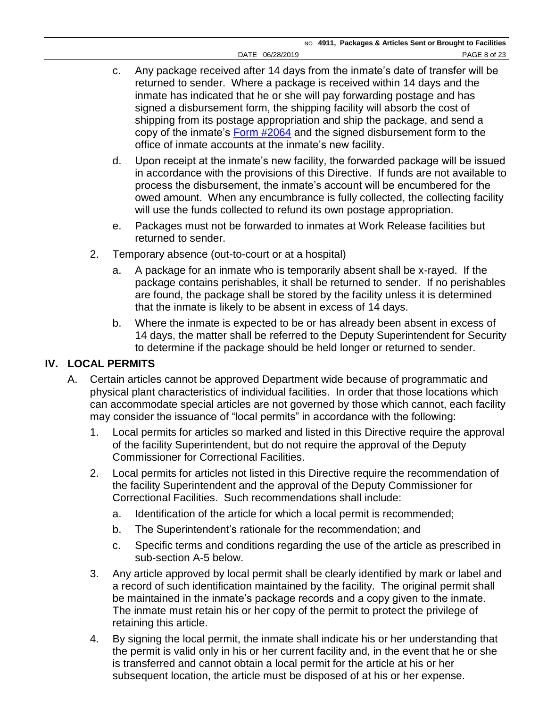- c. Any package received after 14 days from the inmate's date of transfer will be returned to sender. Where a package is received within 14 days and the inmate has indicated that he or she will pay forwarding postage and has signed a disbursement form, the shipping facility will absorb the cost of shipping from its postage appropriation and ship the package, and send a copy of the inmate's [Form #2064](http://www.doccs.ny.gov/directives/Frm2064.pdf) and the signed disbursement form to the office of inmate accounts at the inmate's new facility.
- d. Upon receipt at the inmate's new facility, the forwarded package will be issued in accordance with the provisions of this Directive. If funds are not available to process the disbursement, the inmate's account will be encumbered for the owed amount. When any encumbrance is fully collected, the collecting facility will use the funds collected to refund its own postage appropriation.
- e. Packages must not be forwarded to inmates at Work Release facilities but returned to sender.
- 2. Temporary absence (out-to-court or at a hospital)
	- a. A package for an inmate who is temporarily absent shall be x-rayed. If the package contains perishables, it shall be returned to sender. If no perishables are found, the package shall be stored by the facility unless it is determined that the inmate is likely to be absent in excess of 14 days.
	- b. Where the inmate is expected to be or has already been absent in excess of 14 days, the matter shall be referred to the Deputy Superintendent for Security to determine if the package should be held longer or returned to sender.

# **IV. LOCAL PERMITS**

- A. Certain articles cannot be approved Department wide because of programmatic and physical plant characteristics of individual facilities. In order that those locations which can accommodate special articles are not governed by those which cannot, each facility may consider the issuance of "local permits" in accordance with the following:
	- 1. Local permits for articles so marked and listed in this Directive require the approval of the facility Superintendent, but do not require the approval of the Deputy Commissioner for Correctional Facilities.
	- 2. Local permits for articles not listed in this Directive require the recommendation of the facility Superintendent and the approval of the Deputy Commissioner for Correctional Facilities. Such recommendations shall include:
		- a. Identification of the article for which a local permit is recommended;
		- b. The Superintendent's rationale for the recommendation; and
		- c. Specific terms and conditions regarding the use of the article as prescribed in sub-section A-5 below.
	- 3. Any article approved by local permit shall be clearly identified by mark or label and a record of such identification maintained by the facility. The original permit shall be maintained in the inmate's package records and a copy given to the inmate. The inmate must retain his or her copy of the permit to protect the privilege of retaining this article.
	- 4. By signing the local permit, the inmate shall indicate his or her understanding that the permit is valid only in his or her current facility and, in the event that he or she is transferred and cannot obtain a local permit for the article at his or her subsequent location, the article must be disposed of at his or her expense.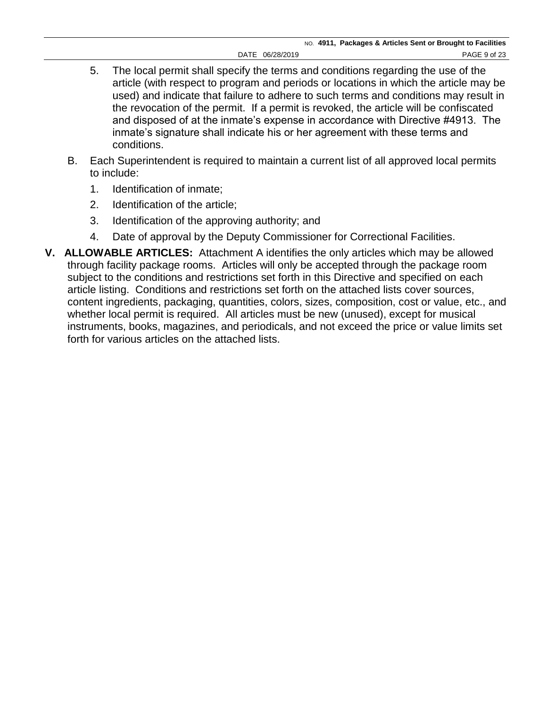- 5. The local permit shall specify the terms and conditions regarding the use of the article (with respect to program and periods or locations in which the article may be used) and indicate that failure to adhere to such terms and conditions may result in the revocation of the permit. If a permit is revoked, the article will be confiscated and disposed of at the inmate's expense in accordance with Directive #4913. The inmate's signature shall indicate his or her agreement with these terms and conditions.
- B. Each Superintendent is required to maintain a current list of all approved local permits to include:
	- 1. Identification of inmate;
	- 2. Identification of the article;
	- 3. Identification of the approving authority; and
	- 4. Date of approval by the Deputy Commissioner for Correctional Facilities.
- **V. ALLOWABLE ARTICLES:** Attachment A identifies the only articles which may be allowed through facility package rooms. Articles will only be accepted through the package room subject to the conditions and restrictions set forth in this Directive and specified on each article listing. Conditions and restrictions set forth on the attached lists cover sources, content ingredients, packaging, quantities, colors, sizes, composition, cost or value, etc., and whether local permit is required. All articles must be new (unused), except for musical instruments, books, magazines, and periodicals, and not exceed the price or value limits set forth for various articles on the attached lists.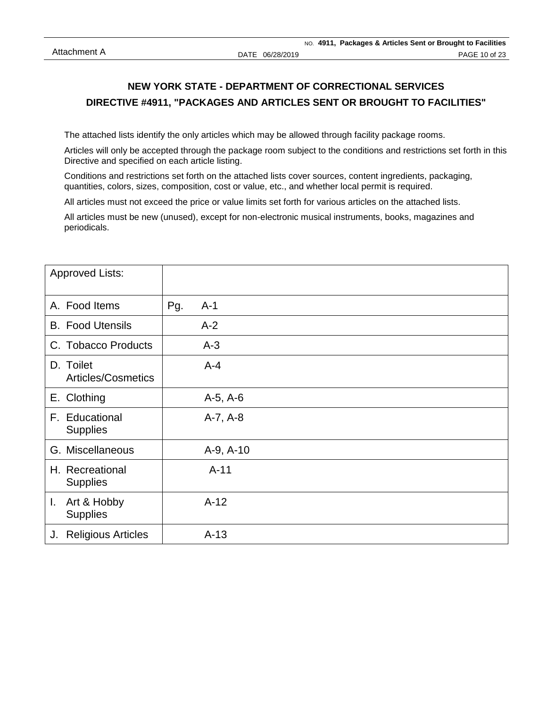The attached lists identify the only articles which may be allowed through facility package rooms.

Articles will only be accepted through the package room subject to the conditions and restrictions set forth in this Directive and specified on each article listing.

Conditions and restrictions set forth on the attached lists cover sources, content ingredients, packaging, quantities, colors, sizes, composition, cost or value, etc., and whether local permit is required.

All articles must not exceed the price or value limits set forth for various articles on the attached lists.

All articles must be new (unused), except for non-electronic musical instruments, books, magazines and periodicals.

| <b>Approved Lists:</b>               |              |
|--------------------------------------|--------------|
| A. Food Items                        | Pg.<br>$A-1$ |
| <b>B.</b> Food Utensils              | $A-2$        |
| C. Tobacco Products                  | $A-3$        |
| D. Toilet<br>Articles/Cosmetics      | $A - 4$      |
| E. Clothing                          | $A-5, A-6$   |
| F. Educational<br><b>Supplies</b>    | $A-7, A-8$   |
| G. Miscellaneous                     | A-9, A-10    |
| H. Recreational<br><b>Supplies</b>   | $A-11$       |
| Art & Hobby<br>I.<br><b>Supplies</b> | $A-12$       |
| <b>Religious Articles</b><br>J.      | $A-13$       |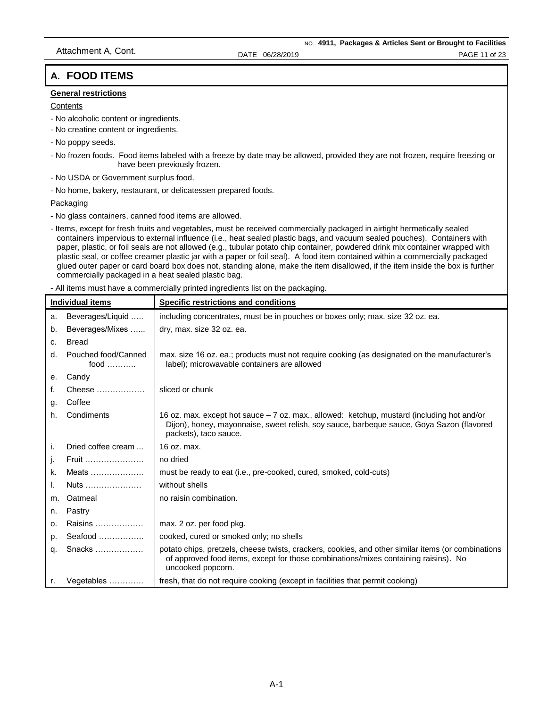## **A. FOOD ITEMS**

#### **General restrictions**

#### **Contents**

- No alcoholic content or ingredients.
- No creatine content or ingredients.
- No poppy seeds.
- No frozen foods. Food items labeled with a freeze by date may be allowed, provided they are not frozen, require freezing or have been previously frozen.
- No USDA or Government surplus food.
- No home, bakery, restaurant, or delicatessen prepared foods.

Packaging

- No glass containers, canned food items are allowed.
- Items, except for fresh fruits and vegetables, must be received commercially packaged in airtight hermetically sealed containers impervious to external influence (i.e., heat sealed plastic bags, and vacuum sealed pouches). Containers with paper, plastic, or foil seals are not allowed (e.g., tubular potato chip container, powdered drink mix container wrapped with plastic seal, or coffee creamer plastic jar with a paper or foil seal). A food item contained within a commercially packaged glued outer paper or card board box does not, standing alone, make the item disallowed, if the item inside the box is further commercially packaged in a heat sealed plastic bag.

- All items must have a commercially printed ingredients list on the packaging.

|    | <b>Individual items</b>              | Specific restrictions and conditions                                                                                                                                                                             |
|----|--------------------------------------|------------------------------------------------------------------------------------------------------------------------------------------------------------------------------------------------------------------|
| a. | Beverages/Liquid                     | including concentrates, must be in pouches or boxes only; max. size 32 oz. ea.                                                                                                                                   |
| b. | Beverages/Mixes                      | dry, max. size 32 oz. ea.                                                                                                                                                                                        |
| C. | <b>Bread</b>                         |                                                                                                                                                                                                                  |
| d. | Pouched food/Canned<br>food $\ldots$ | max. size 16 oz. ea.; products must not require cooking (as designated on the manufacturer's<br>label); microwavable containers are allowed                                                                      |
| е. | Candy                                |                                                                                                                                                                                                                  |
| f. | Cheese                               | sliced or chunk                                                                                                                                                                                                  |
| g. | Coffee                               |                                                                                                                                                                                                                  |
| h. | Condiments                           | 16 oz. max. except hot sauce $-7$ oz. max., allowed: ketchup, mustard (including hot and/or<br>Dijon), honey, mayonnaise, sweet relish, soy sauce, barbeque sauce, Goya Sazon (flavored<br>packets), taco sauce. |
| i. | Dried coffee cream                   | 16 oz. max.                                                                                                                                                                                                      |
| j. | Fruit                                | no dried                                                                                                                                                                                                         |
| k. | Meats                                | must be ready to eat (i.e., pre-cooked, cured, smoked, cold-cuts)                                                                                                                                                |
| ı. | Nuts                                 | without shells                                                                                                                                                                                                   |
| m. | Oatmeal                              | no raisin combination.                                                                                                                                                                                           |
| n. | Pastry                               |                                                                                                                                                                                                                  |
| о. | Raisins                              | max. 2 oz. per food pkg.                                                                                                                                                                                         |
| p. | Seafood                              | cooked, cured or smoked only; no shells                                                                                                                                                                          |
| q. | Snacks                               | potato chips, pretzels, cheese twists, crackers, cookies, and other similar items (or combinations<br>of approved food items, except for those combinations/mixes containing raisins). No<br>uncooked popcorn.   |
| r. | Vegetables                           | fresh, that do not require cooking (except in facilities that permit cooking)                                                                                                                                    |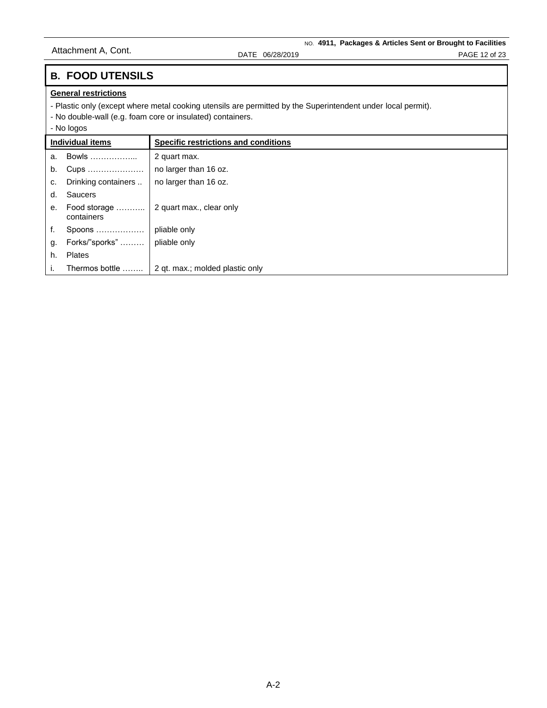# **B. FOOD UTENSILS**

### **General restrictions**

- Plastic only (except where metal cooking utensils are permitted by the Superintendent under local permit).

- No double-wall (e.g. foam core or insulated) containers.

### - No logos

| Individual items |                            | Specific restrictions and conditions |
|------------------|----------------------------|--------------------------------------|
| a.               | Bowls                      | 2 quart max.                         |
| b.               | Cups                       | no larger than 16 oz.                |
| c.               | Drinking containers        | no larger than 16 oz.                |
| d.               | <b>Saucers</b>             |                                      |
| e <sub>1</sub>   | Food storage<br>containers | 2 quart max., clear only             |
| f.               | Spoons                     | pliable only                         |
| g.               | Forks/"sporks"             | pliable only                         |
| h.               | <b>Plates</b>              |                                      |
|                  | Thermos bottle             | 2 qt. max.; molded plastic only      |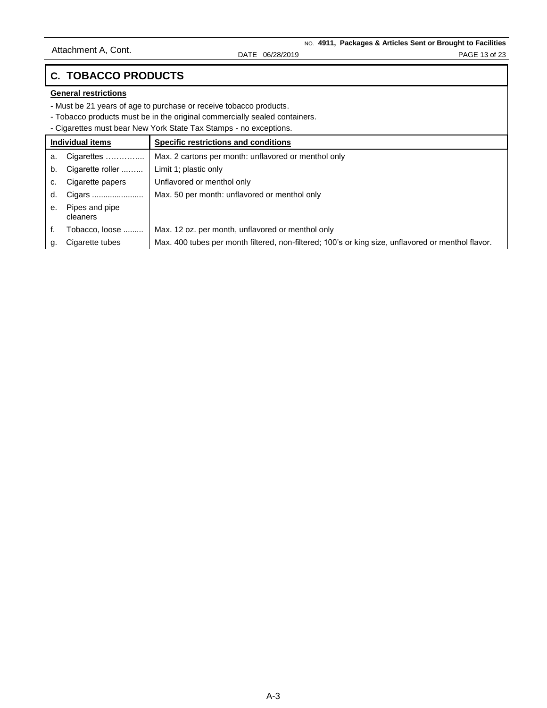## **C. TOBACCO PRODUCTS**

### **General restrictions**

- Must be 21 years of age to purchase or receive tobacco products.

- Tobacco products must be in the original commercially sealed containers.

- Cigarettes must bear New York State Tax Stamps - no exceptions.

| Individual items |                            | Specific restrictions and conditions                                                               |
|------------------|----------------------------|----------------------------------------------------------------------------------------------------|
| a.               | Cigarettes                 | Max. 2 cartons per month: unflavored or menthol only                                               |
| b.               | Cigarette roller           | Limit 1; plastic only                                                                              |
| c.               | Cigarette papers           | Unflavored or menthol only                                                                         |
| d.               | Cigars                     | Max. 50 per month: unflavored or menthol only                                                      |
| е.               | Pipes and pipe<br>cleaners |                                                                                                    |
|                  | Tobacco, loose             | Max. 12 oz. per month, unflavored or menthol only                                                  |
|                  | Cigarette tubes            | Max. 400 tubes per month filtered, non-filtered; 100's or king size, unflavored or menthol flavor. |
|                  |                            |                                                                                                    |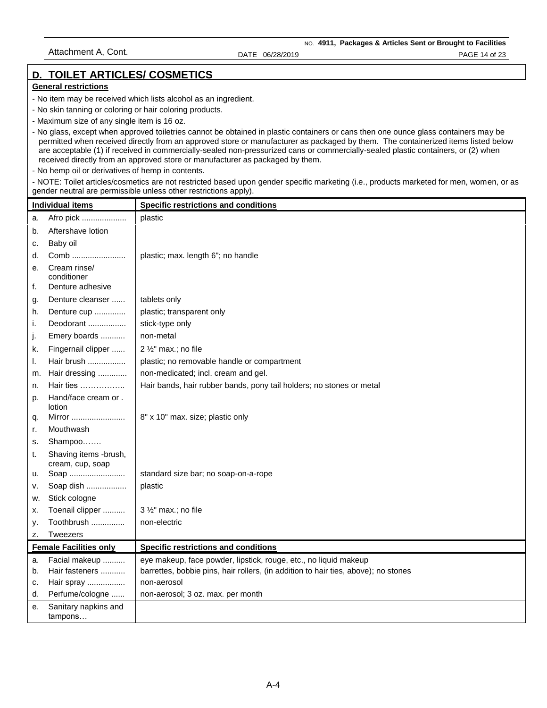### **D. TOILET ARTICLES/ COSMETICS**

#### **General restrictions**

- No item may be received which lists alcohol as an ingredient.
- No skin tanning or coloring or hair coloring products.
- Maximum size of any single item is 16 oz.
- No glass, except when approved toiletries cannot be obtained in plastic containers or cans then one ounce glass containers may be permitted when received directly from an approved store or manufacturer as packaged by them. The containerized items listed below are acceptable (1) if received in commercially-sealed non-pressurized cans or commercially-sealed plastic containers, or (2) when received directly from an approved store or manufacturer as packaged by them.
- No hemp oil or derivatives of hemp in contents.

- NOTE: Toilet articles/cosmetics are not restricted based upon gender specific marketing (i.e., products marketed for men, women, or as gender neutral are permissible unless other restrictions apply).

| <b>Individual items</b> |                                           | <b>Specific restrictions and conditions</b>                                        |
|-------------------------|-------------------------------------------|------------------------------------------------------------------------------------|
| a.                      | Afro pick                                 | plastic                                                                            |
| b.                      | Aftershave lotion                         |                                                                                    |
| c.                      | Baby oil                                  |                                                                                    |
| d.                      | Comb                                      | plastic; max. length 6"; no handle                                                 |
| е.                      | Cream rinse/<br>conditioner               |                                                                                    |
| f.                      | Denture adhesive                          |                                                                                    |
| g.                      | Denture cleanser                          | tablets only                                                                       |
| h.                      | Denture cup                               | plastic; transparent only                                                          |
| i.                      | Deodorant                                 | stick-type only                                                                    |
| J.                      | Emery boards                              | non-metal                                                                          |
| k.                      | Fingernail clipper                        | 2 1/2" max.; no file                                                               |
| ı.                      | Hair brush                                | plastic; no removable handle or compartment                                        |
| m.                      | Hair dressing                             | non-medicated; incl. cream and gel.                                                |
| n.                      | Hair ties $\ldots$                        | Hair bands, hair rubber bands, pony tail holders; no stones or metal               |
| p.                      | Hand/face cream or.<br>lotion             |                                                                                    |
| q.                      | Mirror                                    | 8" x 10" max. size; plastic only                                                   |
| r.                      | Mouthwash                                 |                                                                                    |
| s.                      | Shampoo                                   |                                                                                    |
| t.                      | Shaving items -brush,<br>cream, cup, soap |                                                                                    |
| u.                      | Soap                                      | standard size bar; no soap-on-a-rope                                               |
| v.                      | Soap dish                                 | plastic                                                                            |
| w.                      | Stick cologne                             |                                                                                    |
| х.                      | Toenail clipper                           | $3\frac{1}{2}$ " max.; no file                                                     |
| у.                      | Toothbrush                                | non-electric                                                                       |
| z.                      | <b>Tweezers</b>                           |                                                                                    |
|                         | <b>Female Facilities only</b>             | Specific restrictions and conditions                                               |
| a.                      | Facial makeup                             | eye makeup, face powder, lipstick, rouge, etc., no liquid makeup                   |
| b.                      | Hair fasteners                            | barrettes, bobbie pins, hair rollers, (in addition to hair ties, above); no stones |
| c.                      | Hair spray                                | non-aerosol                                                                        |
| d.                      | Perfume/cologne                           | non-aerosol; 3 oz. max. per month                                                  |
| е.                      | Sanitary napkins and<br>tampons           |                                                                                    |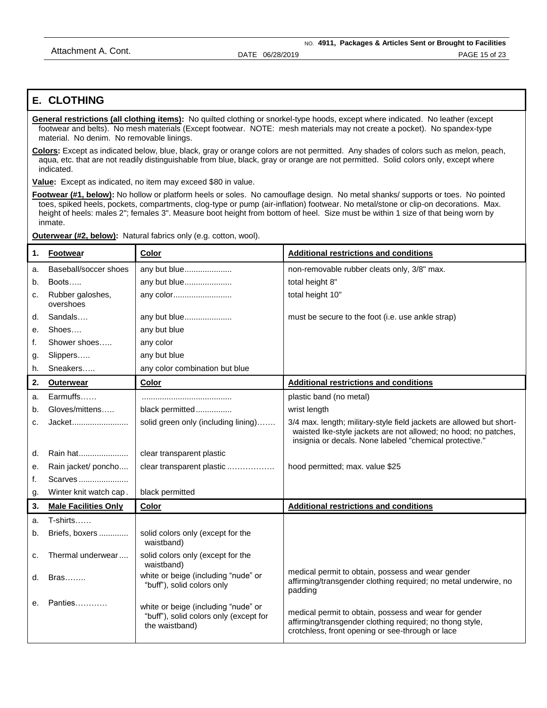### **E. CLOTHING**

**General restrictions (all clothing items):** No quilted clothing or snorkel-type hoods, except where indicated. No leather (except footwear and belts). No mesh materials (Except footwear. NOTE: mesh materials may not create a pocket). No spandex-type material. No denim. No removable linings.

**Colors:** Except as indicated below, blue, black, gray or orange colors are not permitted. Any shades of colors such as melon, peach, aqua, etc. that are not readily distinguishable from blue, black, gray or orange are not permitted. Solid colors only, except where indicated.

**Value:** Except as indicated, no item may exceed \$80 in value.

**Footwear (#1, below):** No hollow or platform heels or soles. No camouflage design. No metal shanks/ supports or toes. No pointed toes, spiked heels, pockets, compartments, clog-type or pump (air-inflation) footwear. No metal/stone or clip-on decorations. Max. height of heels: males 2"; females 3". Measure boot height from bottom of heel. Size must be within 1 size of that being worn by inmate.

**Outerwear (#2, below):** Natural fabrics only (e.g. cotton, wool).

| 1. | <b>Footwear</b>               | Color                                                                                           | <b>Additional restrictions and conditions</b>                                                                                                                                                      |
|----|-------------------------------|-------------------------------------------------------------------------------------------------|----------------------------------------------------------------------------------------------------------------------------------------------------------------------------------------------------|
| a. | Baseball/soccer shoes         | any but blue                                                                                    | non-removable rubber cleats only, 3/8" max.                                                                                                                                                        |
| b. | Boots                         | any but blue                                                                                    | total height 8"                                                                                                                                                                                    |
| c. | Rubber galoshes,<br>overshoes | any color                                                                                       | total height 10"                                                                                                                                                                                   |
| d. | Sandals                       | any but blue                                                                                    | must be secure to the foot (i.e. use ankle strap)                                                                                                                                                  |
| е. | Shoes                         | any but blue                                                                                    |                                                                                                                                                                                                    |
| f. | Shower shoes                  | any color                                                                                       |                                                                                                                                                                                                    |
| g. | Slippers                      | any but blue                                                                                    |                                                                                                                                                                                                    |
| h. | Sneakers                      | any color combination but blue                                                                  |                                                                                                                                                                                                    |
| 2. | <b>Outerwear</b>              | <b>Color</b>                                                                                    | <b>Additional restrictions and conditions</b>                                                                                                                                                      |
| a. | $Earmoffs$                    |                                                                                                 | plastic band (no metal)                                                                                                                                                                            |
| b. | Gloves/mittens                | black permitted                                                                                 | wrist length                                                                                                                                                                                       |
| c. | Jacket                        | solid green only (including lining)                                                             | 3/4 max. length; military-style field jackets are allowed but short-<br>waisted Ike-style jackets are not allowed; no hood; no patches,<br>insignia or decals. None labeled "chemical protective." |
| d. | Rain hat                      | clear transparent plastic                                                                       |                                                                                                                                                                                                    |
| е. | Rain jacket/ poncho           | clear transparent plastic                                                                       | hood permitted; max. value \$25                                                                                                                                                                    |
| f. | Scarves                       |                                                                                                 |                                                                                                                                                                                                    |
| g. | Winter knit watch cap.        | black permitted                                                                                 |                                                                                                                                                                                                    |
| 3. | <b>Male Facilities Only</b>   | Color                                                                                           | <b>Additional restrictions and conditions</b>                                                                                                                                                      |
| a. | T-shirts                      |                                                                                                 |                                                                                                                                                                                                    |
| b. | Briefs, boxers                | solid colors only (except for the<br>waistband)                                                 |                                                                                                                                                                                                    |
| c. | Thermal underwear             | solid colors only (except for the<br>waistband)                                                 |                                                                                                                                                                                                    |
| d. | <b>Bras</b>                   | white or beige (including "nude" or<br>"buff"), solid colors only                               | medical permit to obtain, possess and wear gender<br>affirming/transgender clothing required; no metal underwire, no<br>padding                                                                    |
| e. | Panties                       | white or beige (including "nude" or<br>"buff"), solid colors only (except for<br>the waistband) | medical permit to obtain, possess and wear for gender<br>affirming/transgender clothing required; no thong style,<br>crotchless, front opening or see-through or lace                              |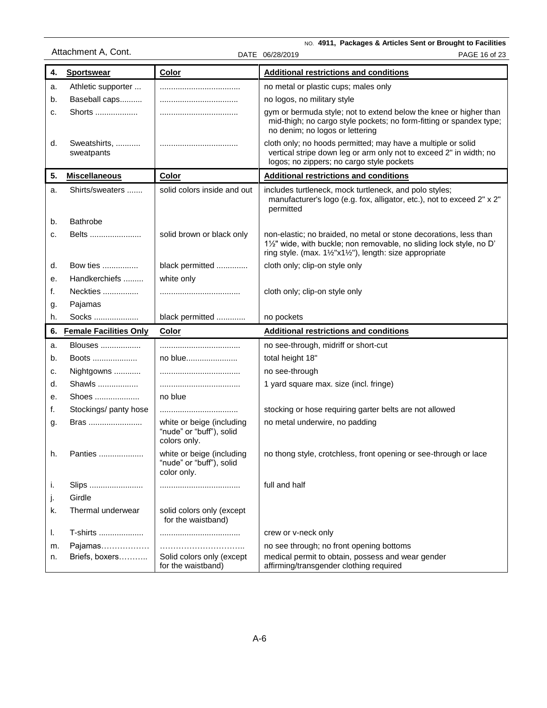|          |                               |                                                                       | NO. 4911, Packages & Articles Sent or Brought to Facilities                                                                                                                                       |
|----------|-------------------------------|-----------------------------------------------------------------------|---------------------------------------------------------------------------------------------------------------------------------------------------------------------------------------------------|
|          | Attachment A, Cont.           |                                                                       | DATE 06/28/2019<br>PAGE 16 of 23                                                                                                                                                                  |
| 4.       | <b>Sportswear</b>             | Color                                                                 | <b>Additional restrictions and conditions</b>                                                                                                                                                     |
| a.       | Athletic supporter            |                                                                       | no metal or plastic cups; males only                                                                                                                                                              |
| b.       | Baseball caps                 |                                                                       | no logos, no military style                                                                                                                                                                       |
| c.       | Shorts                        |                                                                       | gym or bermuda style; not to extend below the knee or higher than<br>mid-thigh; no cargo style pockets; no form-fitting or spandex type;<br>no denim; no logos or lettering                       |
| d.       | Sweatshirts,<br>sweatpants    |                                                                       | cloth only; no hoods permitted; may have a multiple or solid<br>vertical stripe down leg or arm only not to exceed 2" in width; no<br>logos; no zippers; no cargo style pockets                   |
| 5.       | <b>Miscellaneous</b>          | Color                                                                 | <b>Additional restrictions and conditions</b>                                                                                                                                                     |
| a.       | Shirts/sweaters               | solid colors inside and out                                           | includes turtleneck, mock turtleneck, and polo styles;<br>manufacturer's logo (e.g. fox, alligator, etc.), not to exceed 2" x 2"<br>permitted                                                     |
| b.       | Bathrobe                      |                                                                       |                                                                                                                                                                                                   |
| c.       | Belts                         | solid brown or black only                                             | non-elastic; no braided, no metal or stone decorations, less than<br>11/2" wide, with buckle; non removable, no sliding lock style, no D'<br>ring style. (max. 1½"x1½"), length: size appropriate |
| d.       | Bow ties                      | black permitted                                                       | cloth only; clip-on style only                                                                                                                                                                    |
| е.       | Handkerchiefs                 | white only                                                            |                                                                                                                                                                                                   |
| f.       | Neckties                      |                                                                       | cloth only; clip-on style only                                                                                                                                                                    |
| g.       | Pajamas                       |                                                                       |                                                                                                                                                                                                   |
| h.       | Socks                         | black permitted                                                       | no pockets                                                                                                                                                                                        |
| 6.       | <b>Female Facilities Only</b> | Color                                                                 | <b>Additional restrictions and conditions</b>                                                                                                                                                     |
| a.       | Blouses                       |                                                                       | no see-through, midriff or short-cut                                                                                                                                                              |
| b.       | Boots                         | no blue                                                               | total height 18"                                                                                                                                                                                  |
| c.       | Nightgowns                    |                                                                       | no see-through                                                                                                                                                                                    |
| d.       | Shawls                        |                                                                       | 1 yard square max. size (incl. fringe)                                                                                                                                                            |
| е.       | Shoes                         | no blue                                                               |                                                                                                                                                                                                   |
| f.       | Stockings/ panty hose         |                                                                       | stocking or hose requiring garter belts are not allowed                                                                                                                                           |
| g.       | Bras                          | white or beige (including<br>"nude" or "buff"), solid<br>colors only. | no metal underwire, no padding                                                                                                                                                                    |
| h.       | Panties                       | white or beige (including<br>"nude" or "buff"), solid<br>color only.  | no thong style, crotchless, front opening or see-through or lace                                                                                                                                  |
| Τ.<br>J. | Slips<br>Girdle               |                                                                       | full and half                                                                                                                                                                                     |
| k.       | Thermal underwear             | solid colors only (except<br>for the waistband)                       |                                                                                                                                                                                                   |
| I.       | T-shirts                      |                                                                       | crew or v-neck only                                                                                                                                                                               |
| m.       | Pajamas                       |                                                                       | no see through; no front opening bottoms                                                                                                                                                          |
| n.       | Briefs, boxers                | Solid colors only (except<br>for the waistband)                       | medical permit to obtain, possess and wear gender<br>affirming/transgender clothing required                                                                                                      |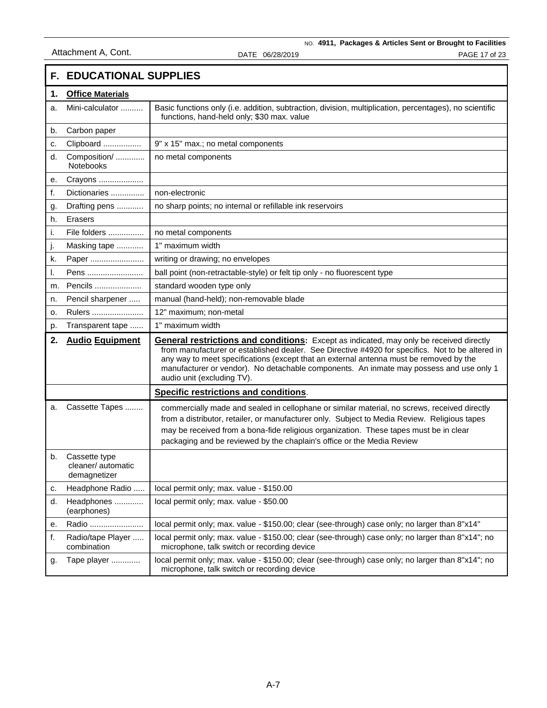|    | <b>F. EDUCATIONAL SUPPLIES</b>                      |                                                                                                                                                                                                                                                                                                                                                                                                                       |  |
|----|-----------------------------------------------------|-----------------------------------------------------------------------------------------------------------------------------------------------------------------------------------------------------------------------------------------------------------------------------------------------------------------------------------------------------------------------------------------------------------------------|--|
| 1. | <b>Office Materials</b>                             |                                                                                                                                                                                                                                                                                                                                                                                                                       |  |
| a. | Mini-calculator                                     | Basic functions only (i.e. addition, subtraction, division, multiplication, percentages), no scientific<br>functions, hand-held only; \$30 max. value                                                                                                                                                                                                                                                                 |  |
| b. | Carbon paper                                        |                                                                                                                                                                                                                                                                                                                                                                                                                       |  |
| c. | Clipboard                                           | 9" x 15" max.; no metal components                                                                                                                                                                                                                                                                                                                                                                                    |  |
| d. | Composition/<br>Notebooks                           | no metal components                                                                                                                                                                                                                                                                                                                                                                                                   |  |
| е. | Crayons                                             |                                                                                                                                                                                                                                                                                                                                                                                                                       |  |
| f. | Dictionaries                                        | non-electronic                                                                                                                                                                                                                                                                                                                                                                                                        |  |
| g. | Drafting pens                                       | no sharp points; no internal or refillable ink reservoirs                                                                                                                                                                                                                                                                                                                                                             |  |
| h. | <b>Erasers</b>                                      |                                                                                                                                                                                                                                                                                                                                                                                                                       |  |
| i. | File folders                                        | no metal components                                                                                                                                                                                                                                                                                                                                                                                                   |  |
| j. | Masking tape                                        | 1" maximum width                                                                                                                                                                                                                                                                                                                                                                                                      |  |
| k. | Paper                                               | writing or drawing; no envelopes                                                                                                                                                                                                                                                                                                                                                                                      |  |
| I. | Pens                                                | ball point (non-retractable-style) or felt tip only - no fluorescent type                                                                                                                                                                                                                                                                                                                                             |  |
| m. | Pencils                                             | standard wooden type only                                                                                                                                                                                                                                                                                                                                                                                             |  |
| n. | Pencil sharpener                                    | manual (hand-held); non-removable blade                                                                                                                                                                                                                                                                                                                                                                               |  |
| 0. | Rulers                                              | 12" maximum; non-metal                                                                                                                                                                                                                                                                                                                                                                                                |  |
| p. | Transparent tape                                    | 1" maximum width                                                                                                                                                                                                                                                                                                                                                                                                      |  |
| 2. | <b>Audio Equipment</b>                              | <b>General restrictions and conditions:</b> Except as indicated, may only be received directly<br>from manufacturer or established dealer. See Directive #4920 for specifics. Not to be altered in<br>any way to meet specifications (except that an external antenna must be removed by the<br>manufacturer or vendor). No detachable components. An inmate may possess and use only 1<br>audio unit (excluding TV). |  |
|    |                                                     | <b>Specific restrictions and conditions.</b>                                                                                                                                                                                                                                                                                                                                                                          |  |
| a. | Cassette Tapes                                      | commercially made and sealed in cellophane or similar material, no screws, received directly<br>from a distributor, retailer, or manufacturer only. Subject to Media Review. Religious tapes<br>may be received from a bona-fide religious organization. These tapes must be in clear<br>packaging and be reviewed by the chaplain's office or the Media Review                                                       |  |
| b. | Cassette type<br>cleaner/ automatic<br>demagnetizer |                                                                                                                                                                                                                                                                                                                                                                                                                       |  |
| c. | Headphone Radio                                     | local permit only; max. value - \$150.00                                                                                                                                                                                                                                                                                                                                                                              |  |
| d. | Headphones<br>(earphones)                           | local permit only; max. value - \$50.00                                                                                                                                                                                                                                                                                                                                                                               |  |
| е. | Radio                                               | local permit only; max. value - \$150.00; clear (see-through) case only; no larger than 8"x14"                                                                                                                                                                                                                                                                                                                        |  |
| f. | Radio/tape Player<br>combination                    | local permit only; max. value - \$150.00; clear (see-through) case only; no larger than 8"x14"; no<br>microphone, talk switch or recording device                                                                                                                                                                                                                                                                     |  |
| g. | Tape player                                         | local permit only; max. value - \$150.00; clear (see-through) case only; no larger than 8"x14"; no<br>microphone, talk switch or recording device                                                                                                                                                                                                                                                                     |  |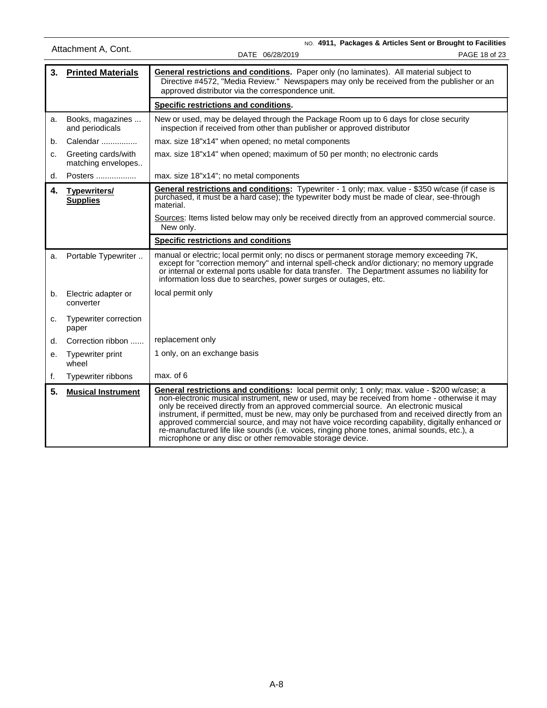NO. **4911, Packages & Articles Sent or Brought to Facilities** DATE 06/28/2019 PAGE 18 of 23 Attachment A, Cont. **3. Printed Materials General restrictions and conditions.** Paper only (no laminates). All material subject to Directive #4572, "Media Review." Newspapers may only be received from the publisher or an approved distributor via the correspondence unit. **Specific restrictions and conditions.**  a. Books, magazines ... and periodicals New or used, may be delayed through the Package Room up to 6 days for close security inspection if received from other than publisher or approved distributor b. Calendar ................ max. size 18"x14" when opened; no metal components c. Greeting cards/with matching envelopes.. max. size 18"x14" when opened; maximum of 50 per month; no electronic cards d. Posters  $\ldots$  $\ldots$  $\ldots$  $\ldots$  max. size 18"x14"; no metal components **4. Typewriters/ Supplies General restrictions and conditions:** Typewriter - 1 only; max. value - \$350 w/case (if case is purchased, it must be a hard case); the typewriter body must be made of clear, see-through material. Sources: Items listed below may only be received directly from an approved commercial source. New only. **Specific restrictions and conditions** a. Portable Typewriter .. | manual or electric; local permit only; no discs or permanent storage memory exceeding 7K, except for "correction memory" and internal spell-check and/or dictionary; no memory upgrade or internal or external ports usable for data transfer. The Department assumes no liability for information loss due to searches, power surges or outages, etc. b. Electric adapter or converter local permit only c. Typewriter correction paper d. Correction ribbon ...... replacement only e. Typewriter print wheel 1 only, on an exchange basis f. Typewriter ribbons  $\parallel$  max. of 6 **5. Musical Instrument General restrictions and conditions:** local permit only; 1 only; max. value - \$200 w/case; a non-electronic musical instrument, new or used, may be received from home - otherwise it may only be received directly from an approved commercial source. An electronic musical instrument, if permitted, must be new, may only be purchased from and received directly from an approved commercial source, and may not have voice recording capability, digitally enhanced or re-manufactured life like sounds (i.e. voices, ringing phone tones, animal sounds, etc.), a microphone or any disc or other removable storage device.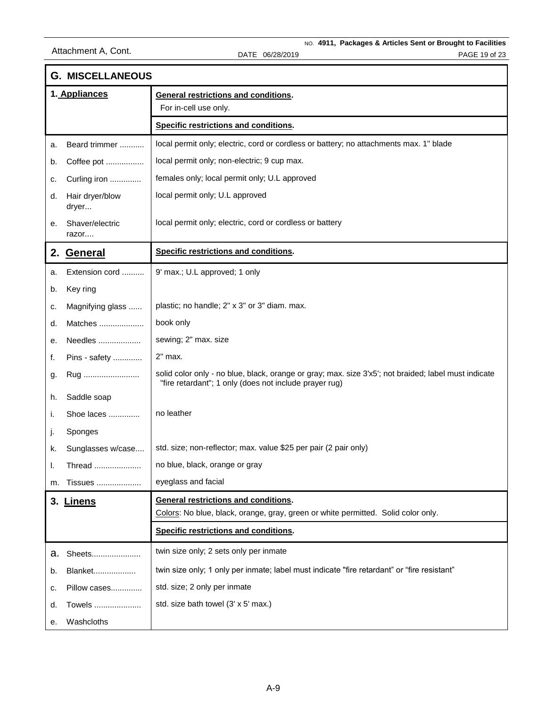|    | <b>G. MISCELLANEOUS</b>  |                                                                                                                                                                |  |
|----|--------------------------|----------------------------------------------------------------------------------------------------------------------------------------------------------------|--|
|    | 1. Appliances            | <b>General restrictions and conditions.</b><br>For in-cell use only.                                                                                           |  |
|    |                          | Specific restrictions and conditions.                                                                                                                          |  |
| a. | Beard trimmer            | local permit only; electric, cord or cordless or battery; no attachments max. 1" blade                                                                         |  |
| b. | Coffee pot               | local permit only; non-electric; 9 cup max.                                                                                                                    |  |
| c. | Curling iron             | females only; local permit only; U.L approved                                                                                                                  |  |
| d. | Hair dryer/blow<br>dryer | local permit only; U.L approved                                                                                                                                |  |
| е. | Shaver/electric<br>razor | local permit only; electric, cord or cordless or battery                                                                                                       |  |
|    | 2. General               | Specific restrictions and conditions.                                                                                                                          |  |
| a. | Extension cord           | 9' max.; U.L approved; 1 only                                                                                                                                  |  |
| b. | Key ring                 |                                                                                                                                                                |  |
| c. | Magnifying glass         | plastic; no handle; 2" x 3" or 3" diam. max.                                                                                                                   |  |
| d. | Matches                  | book only                                                                                                                                                      |  |
| е. | Needles                  | sewing; 2" max. size                                                                                                                                           |  |
| f. | Pins - safety            | 2" max.                                                                                                                                                        |  |
| g. | Rug                      | solid color only - no blue, black, orange or gray; max. size 3'x5'; not braided; label must indicate<br>"fire retardant"; 1 only (does not include prayer rug) |  |
| h. | Saddle soap              |                                                                                                                                                                |  |
| i. | Shoe laces               | no leather                                                                                                                                                     |  |
| j. | Sponges                  |                                                                                                                                                                |  |
| k. | Sunglasses w/case        | std. size; non-reflector; max. value \$25 per pair (2 pair only)                                                                                               |  |
| I. | Thread                   | no blue, black, orange or gray                                                                                                                                 |  |
| m. | Tissues                  | eyeglass and facial                                                                                                                                            |  |
|    | 3. Linens                | <b>General restrictions and conditions.</b><br>Colors: No blue, black, orange, gray, green or white permitted. Solid color only.                               |  |
|    |                          | Specific restrictions and conditions.                                                                                                                          |  |
| а. | Sheets                   | twin size only; 2 sets only per inmate                                                                                                                         |  |
| b. | Blanket                  | twin size only; 1 only per inmate; label must indicate "fire retardant" or "fire resistant"                                                                    |  |
| c. | Pillow cases             | std. size; 2 only per inmate                                                                                                                                   |  |
| d. | Towels                   | std. size bath towel (3' x 5' max.)                                                                                                                            |  |
| е. | Washcloths               |                                                                                                                                                                |  |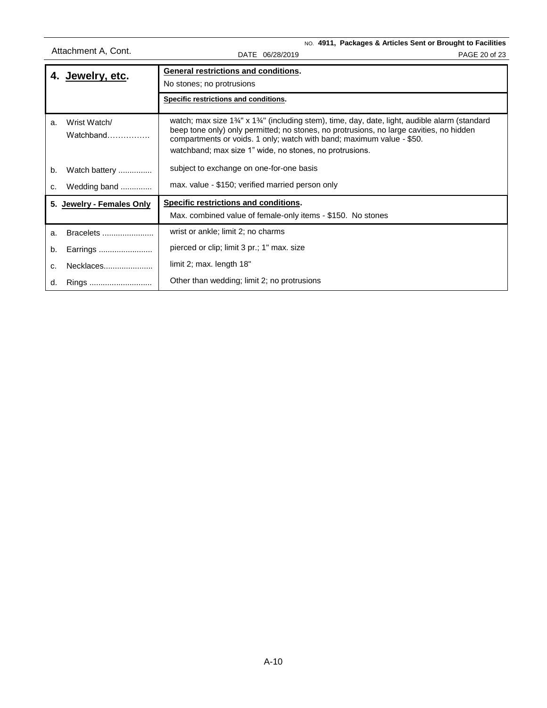NO. **4911, Packages & Articles Sent or Brought to Facilities** Attachment A, Cont.<br>DATE 06/28/2019 PAGE 20 of 23

|    | <b>General restrictions and conditions.</b><br>4. Jewelry, etc.<br>No stones; no protrusions |                                                                                                                                                                                                                                                                                                                                                                                    |
|----|----------------------------------------------------------------------------------------------|------------------------------------------------------------------------------------------------------------------------------------------------------------------------------------------------------------------------------------------------------------------------------------------------------------------------------------------------------------------------------------|
|    |                                                                                              |                                                                                                                                                                                                                                                                                                                                                                                    |
|    |                                                                                              | Specific restrictions and conditions.                                                                                                                                                                                                                                                                                                                                              |
| a. | Wrist Watch/<br>Watchband                                                                    | watch; max size 1 <sup>3</sup> / <sub>4</sub> " x 1 <sup>3</sup> / <sub>4</sub> " (including stem), time, day, date, light, audible alarm (standard<br>beep tone only) only permitted; no stones, no protrusions, no large cavities, no hidden<br>compartments or voids. 1 only; watch with band; maximum value - \$50.<br>watchband; max size 1" wide, no stones, no protrusions. |
| b. | Watch battery                                                                                | subject to exchange on one-for-one basis                                                                                                                                                                                                                                                                                                                                           |
| c. | Wedding band                                                                                 | max. value - \$150; verified married person only                                                                                                                                                                                                                                                                                                                                   |
|    | 5. Jewelry - Females Only                                                                    | Specific restrictions and conditions.                                                                                                                                                                                                                                                                                                                                              |
|    |                                                                                              | Max. combined value of female-only items - \$150. No stones                                                                                                                                                                                                                                                                                                                        |
| a. | Bracelets                                                                                    | wrist or ankle; limit 2; no charms                                                                                                                                                                                                                                                                                                                                                 |
| b. | Earrings                                                                                     | pierced or clip; limit 3 pr.; 1" max. size                                                                                                                                                                                                                                                                                                                                         |
| C. | Necklaces                                                                                    | limit 2; max. length 18"                                                                                                                                                                                                                                                                                                                                                           |
| d. | Rings                                                                                        | Other than wedding; limit 2; no protrusions                                                                                                                                                                                                                                                                                                                                        |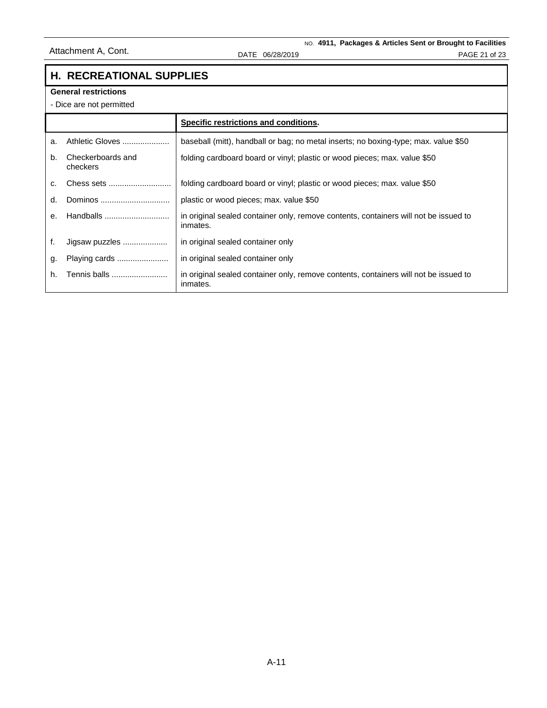# **H. RECREATIONAL SUPPLIES**

#### **General restrictions**

- Dice are not permitted

|    |                               | Specific restrictions and conditions.                                                            |
|----|-------------------------------|--------------------------------------------------------------------------------------------------|
| a. | Athletic Gloves               | baseball (mitt), handball or bag; no metal inserts; no boxing-type; max. value \$50              |
| b. | Checkerboards and<br>checkers | folding cardboard board or vinyl; plastic or wood pieces; max. value \$50                        |
| C. | Chess sets                    | folding cardboard board or vinyl; plastic or wood pieces; max. value \$50                        |
| d. | Dominos                       | plastic or wood pieces; max. value \$50                                                          |
| е. | Handballs                     | in original sealed container only, remove contents, containers will not be issued to<br>inmates. |
| f. | Jigsaw puzzles                | in original sealed container only                                                                |
| g. | Playing cards                 | in original sealed container only                                                                |
| h. | Tennis balls                  | in original sealed container only, remove contents, containers will not be issued to<br>inmates. |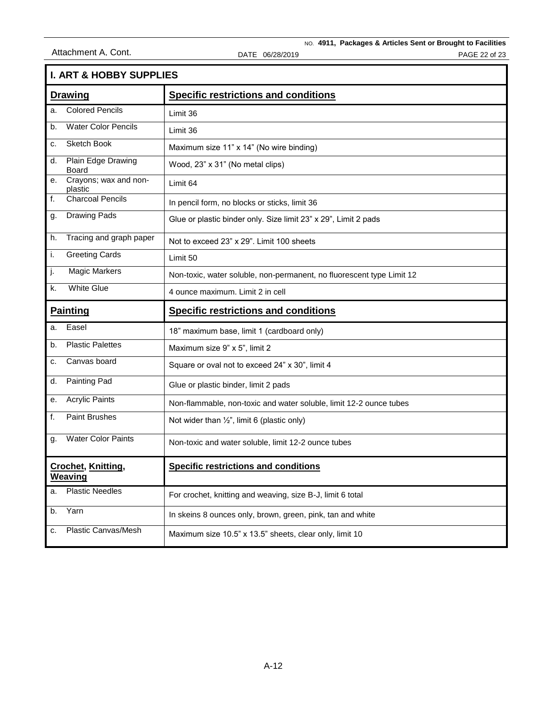NO. **4911, Packages & Articles Sent or Brought to Facilities** Attachment A. Cont. Continuous CONTE 06/28/2019 CONTE 06/28/2019

| <b>I. ART &amp; HOBBY SUPPLIES</b> |                                      |                                                                       |  |  |  |
|------------------------------------|--------------------------------------|-----------------------------------------------------------------------|--|--|--|
| <b>Drawing</b>                     |                                      | <b>Specific restrictions and conditions</b>                           |  |  |  |
| a.                                 | <b>Colored Pencils</b>               | Limit 36                                                              |  |  |  |
| b.                                 | <b>Water Color Pencils</b>           | Limit 36                                                              |  |  |  |
| c.                                 | Sketch Book                          | Maximum size 11" x 14" (No wire binding)                              |  |  |  |
| d.                                 | Plain Edge Drawing<br>Board          | Wood, 23" x 31" (No metal clips)                                      |  |  |  |
| е.                                 | Crayons; wax and non-<br>plastic     | Limit 64                                                              |  |  |  |
| f.                                 | <b>Charcoal Pencils</b>              | In pencil form, no blocks or sticks, limit 36                         |  |  |  |
| g.                                 | <b>Drawing Pads</b>                  | Glue or plastic binder only. Size limit 23" x 29", Limit 2 pads       |  |  |  |
| h.                                 | Tracing and graph paper              | Not to exceed 23" x 29". Limit 100 sheets                             |  |  |  |
| i.                                 | <b>Greeting Cards</b>                | Limit 50                                                              |  |  |  |
| j.                                 | <b>Magic Markers</b>                 | Non-toxic, water soluble, non-permanent, no fluorescent type Limit 12 |  |  |  |
| k.                                 | <b>White Glue</b>                    | 4 ounce maximum. Limit 2 in cell                                      |  |  |  |
| <b>Painting</b>                    |                                      | <b>Specific restrictions and conditions</b>                           |  |  |  |
|                                    |                                      |                                                                       |  |  |  |
| a.                                 | Easel                                | 18" maximum base, limit 1 (cardboard only)                            |  |  |  |
| b.                                 | <b>Plastic Palettes</b>              | Maximum size 9" x 5", limit 2                                         |  |  |  |
| c.                                 | Canvas board                         | Square or oval not to exceed 24" x 30", limit 4                       |  |  |  |
| d.                                 | Painting Pad                         | Glue or plastic binder, limit 2 pads                                  |  |  |  |
| е.                                 | <b>Acrylic Paints</b>                | Non-flammable, non-toxic and water soluble, limit 12-2 ounce tubes    |  |  |  |
| f.                                 | <b>Paint Brushes</b>                 | Not wider than $\frac{1}{2}$ , limit 6 (plastic only)                 |  |  |  |
| g.                                 | <b>Water Color Paints</b>            | Non-toxic and water soluble, limit 12-2 ounce tubes                   |  |  |  |
|                                    | <b>Crochet, Knitting,</b><br>Weaving | <b>Specific restrictions and conditions</b>                           |  |  |  |
| a.                                 | <b>Plastic Needles</b>               | For crochet, knitting and weaving, size B-J, limit 6 total            |  |  |  |
| b.                                 | Yarn                                 | In skeins 8 ounces only, brown, green, pink, tan and white            |  |  |  |